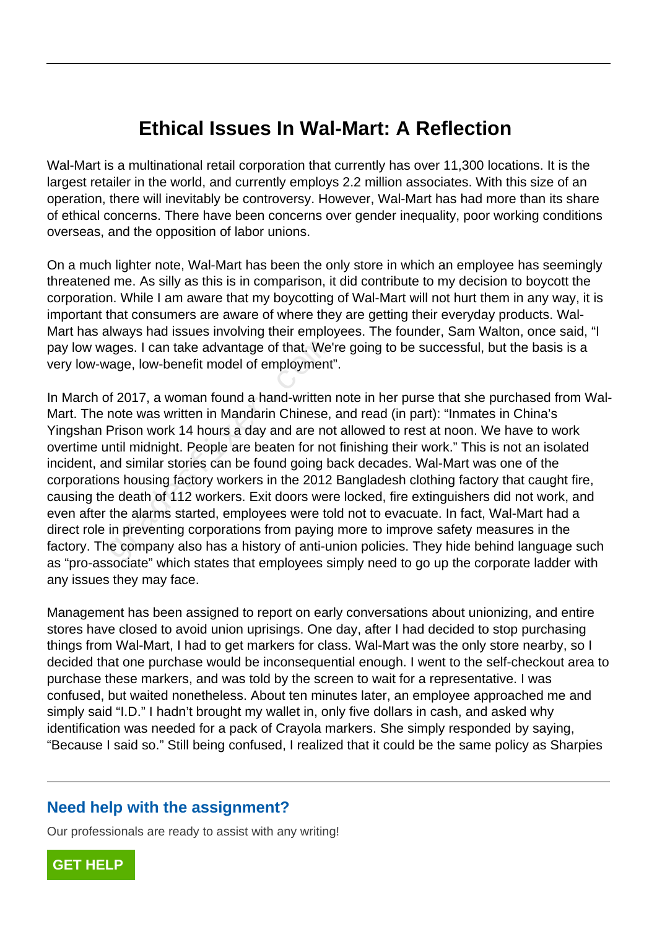## **Ethical Issues In Wal-Mart: A Reflection**

Wal-Mart is a multinational retail corporation that currently has over 11,300 locations. It is the largest retailer in the world, and currently employs 2.2 million associates. With this size of an operation, there will inevitably be controversy. However, Wal-Mart has had more than its share of ethical concerns. There have been concerns over gender inequality, poor working conditions overseas, and the opposition of labor unions.

On a much lighter note, Wal-Mart has been the only store in which an employee has seemingly threatened me. As silly as this is in comparison, it did contribute to my decision to boycott the corporation. While I am aware that my boycotting of Wal-Mart will not hurt them in any way, it is important that consumers are aware of where they are getting their everyday products. Wal-Mart has always had issues involving their employees. The founder, Sam Walton, once said, "I pay low wages. I can take advantage of that. We're going to be successful, but the basis is a very low-wage, low-benefit model of employment".

In March of 2017, a woman found a hand-written note in her purse that she purchased from Wal-Mart. The note was written in Mandarin Chinese, and read (in part): "Inmates in China's Yingshan Prison work 14 hours a day and are not allowed to rest at noon. We have to work overtime until midnight. People are beaten for not finishing their work." This is not an isolated incident, and similar stories can be found going back decades. Wal-Mart was one of the corporations housing factory workers in the 2012 Bangladesh clothing factory that caught fire, causing the death of 112 workers. Exit doors were locked, fire extinguishers did not work, and even after the alarms started, employees were told not to evacuate. In fact, Wal-Mart had a direct role in preventing corporations from paying more to improve safety measures in the factory. The company also has a history of anti-union policies. They hide behind language such as "pro-associate" which states that employees simply need to go up the corporate ladder with any issues they may face. ages. I can take advantage of that. We<br>vage, low-benefit model of employment<br>of 2017, a woman found a hand-written<br>note was written in Mandarin Chinese,<br>Prison work 14 hours a day and are no<br>ntil midnight. People are beate

Management has been assigned to report on early conversations about unionizing, and entire stores have closed to avoid union uprisings. One day, after I had decided to stop purchasing things from Wal-Mart, I had to get markers for class. Wal-Mart was the only store nearby, so I decided that one purchase would be inconsequential enough. I went to the self-checkout area to purchase these markers, and was told by the screen to wait for a representative. I was confused, but waited nonetheless. About ten minutes later, an employee approached me and simply said "I.D." I hadn't brought my wallet in, only five dollars in cash, and asked why identification was needed for a pack of Crayola markers. She simply responded by saying, "Because I said so." Still being confused, I realized that it could be the same policy as Sharpies

## **Need help with the assignment?**

Our professionals are ready to assist with any writing!

**[GET HELP](https://my.gradesfixer.com/order?utm_campaign=pdf_sample)**